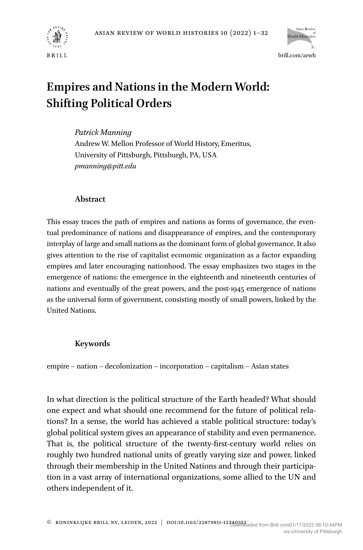



# **Empires and Nations in the Modern World: Shifting Political Orders**

*Patrick Manning* Andrew W. Mellon Professor of World History, Emeritus, University of Pittsburgh, Pittsburgh, PA, USA *[pmanning@pitt.edu](mailto:pmanning@pitt.edu)*

## **Abstract**

This essay traces the path of empires and nations as forms of governance, the eventual predominance of nations and disappearance of empires, and the contemporary interplay of large and small nations as the dominant form of global governance. It also gives attention to the rise of capitalist economic organization as a factor expanding empires and later encouraging nationhood. The essay emphasizes two stages in the emergence of nations: the emergence in the eighteenth and nineteenth centuries of nations and eventually of the great powers, and the post-1945 emergence of nations as the universal form of government, consisting mostly of small powers, linked by the United Nations.

# **Keywords**

empire – nation – decolonization – incorporation – capitalism – Asian states

In what direction is the political structure of the Earth headed? What should one expect and what should one recommend for the future of political relations? In a sense, the world has achieved a stable political structure: today's global political system gives an appearance of stability and even permanence. That is, the political structure of the twenty-first-century world relies on roughly two hundred national units of greatly varying size and power, linked through their membership in the United Nations and through their participation in a vast array of international organizations, some allied to the UN and others independent of it.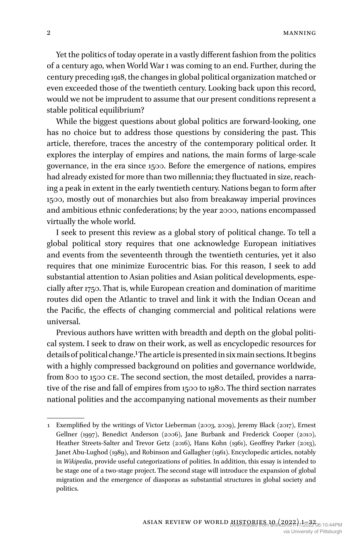Yet the politics of today operate in a vastly different fashion from the politics of a century ago, when World War I was coming to an end. Further, during the century preceding 1918, the changes in global political organization matched or even exceeded those of the twentieth century. Looking back upon this record, would we not be imprudent to assume that our present conditions represent a stable political equilibrium?

While the biggest questions about global politics are forward-looking, one has no choice but to address those questions by considering the past. This article, therefore, traces the ancestry of the contemporary political order. It explores the interplay of empires and nations, the main forms of large-scale governance, in the era since 1500. Before the emergence of nations, empires had already existed for more than two millennia; they fluctuated in size, reaching a peak in extent in the early twentieth century. Nations began to form after 1500, mostly out of monarchies but also from breakaway imperial provinces and ambitious ethnic confederations; by the year 2000, nations encompassed virtually the whole world.

I seek to present this review as a global story of political change. To tell a global political story requires that one acknowledge European initiatives and events from the seventeenth through the twentieth centuries, yet it also requires that one minimize Eurocentric bias. For this reason, I seek to add substantial attention to Asian polities and Asian political developments, especially after 1750. That is, while European creation and domination of maritime routes did open the Atlantic to travel and link it with the Indian Ocean and the Pacific, the effects of changing commercial and political relations were universal.

Previous authors have written with breadth and depth on the global political system. I seek to draw on their work, as well as encyclopedic resources for details of political change.1 The article is presented in six main sections. It begins with a highly compressed background on polities and governance worldwide, from 800 to 1500 CE. The second section, the most detailed, provides a narrative of the rise and fall of empires from 1500 to 1980. The third section narrates national polities and the accompanying national movements as their number

<sup>1</sup> Exemplified by the writings of Victor Lieberman (2003, 2009), Jeremy Black (2017), Ernest Gellner (1997), Benedict Anderson (2006), Jane Burbank and Frederick Cooper (2010), Heather Streets-Salter and Trevor Getz (2016), Hans Kohn (1961), Geoffrey Parker (2013), Janet Abu-Lughod (1989), and Robinson and Gallagher (1961). Encyclopedic articles, notably in *Wikipedia*, provide useful categorizations of polities. In addition, this essay is intended to be stage one of a two-stage project. The second stage will introduce the expansion of global migration and the emergence of diasporas as substantial structures in global society and politics.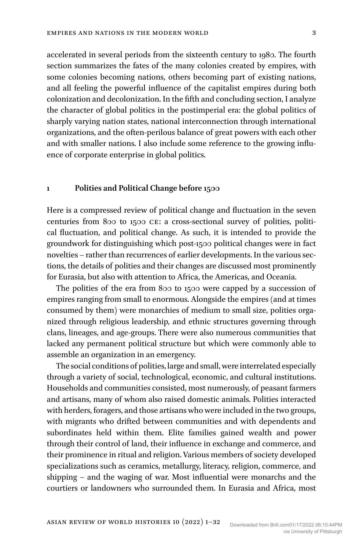accelerated in several periods from the sixteenth century to 1980. The fourth section summarizes the fates of the many colonies created by empires, with some colonies becoming nations, others becoming part of existing nations, and all feeling the powerful influence of the capitalist empires during both colonization and decolonization. In the fifth and concluding section, I analyze the character of global politics in the postimperial era: the global politics of sharply varying nation states, national interconnection through international organizations, and the often-perilous balance of great powers with each other and with smaller nations. I also include some reference to the growing influence of corporate enterprise in global politics.

#### **1 Polities and Political Change before 1500**

Here is a compressed review of political change and fluctuation in the seven centuries from 800 to 1500 CE: a cross-sectional survey of polities, political fluctuation, and political change. As such, it is intended to provide the groundwork for distinguishing which post-1500 political changes were in fact novelties – rather than recurrences of earlier developments. In the various sections, the details of polities and their changes are discussed most prominently for Eurasia, but also with attention to Africa, the Americas, and Oceania.

The polities of the era from 800 to 1500 were capped by a succession of empires ranging from small to enormous. Alongside the empires (and at times consumed by them) were monarchies of medium to small size, polities organized through religious leadership, and ethnic structures governing through clans, lineages, and age-groups. There were also numerous communities that lacked any permanent political structure but which were commonly able to assemble an organization in an emergency.

The social conditions of polities, large and small, were interrelated especially through a variety of social, technological, economic, and cultural institutions. Households and communities consisted, most numerously, of peasant farmers and artisans, many of whom also raised domestic animals. Polities interacted with herders, foragers, and those artisans who were included in the two groups, with migrants who drifted between communities and with dependents and subordinates held within them. Elite families gained wealth and power through their control of land, their influence in exchange and commerce, and their prominence in ritual and religion. Various members of society developed specializations such as ceramics, metallurgy, literacy, religion, commerce, and shipping – and the waging of war. Most influential were monarchs and the courtiers or landowners who surrounded them. In Eurasia and Africa, most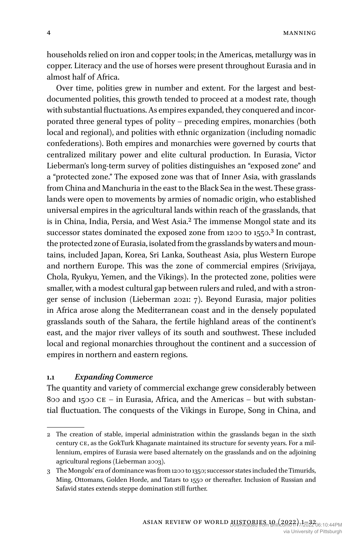4 MANNING

households relied on iron and copper tools; in the Americas, metallurgy was in copper. Literacy and the use of horses were present throughout Eurasia and in almost half of Africa.

Over time, polities grew in number and extent. For the largest and bestdocumented polities, this growth tended to proceed at a modest rate, though with substantial fluctuations. As empires expanded, they conquered and incorporated three general types of polity – preceding empires, monarchies (both local and regional), and polities with ethnic organization (including nomadic confederations). Both empires and monarchies were governed by courts that centralized military power and elite cultural production. In Eurasia, Victor Lieberman's long-term survey of polities distinguishes an "exposed zone" and a "protected zone." The exposed zone was that of Inner Asia, with grasslands from China and Manchuria in the east to the Black Sea in the west. These grasslands were open to movements by armies of nomadic origin, who established universal empires in the agricultural lands within reach of the grasslands, that is in China, India, Persia, and West Asia.2 The immense Mongol state and its successor states dominated the exposed zone from 1200 to 1550.<sup>3</sup> In contrast, the protected zone of Eurasia, isolated from the grasslands by waters and mountains, included Japan, Korea, Sri Lanka, Southeast Asia, plus Western Europe and northern Europe. This was the zone of commercial empires (Srivijaya, Chola, Ryukyu, Yemen, and the Vikings). In the protected zone, polities were smaller, with a modest cultural gap between rulers and ruled, and with a stronger sense of inclusion (Lieberman 2021: 7). Beyond Eurasia, major polities in Africa arose along the Mediterranean coast and in the densely populated grasslands south of the Sahara, the fertile highland areas of the continent's east, and the major river valleys of its south and southwest. These included local and regional monarchies throughout the continent and a succession of empires in northern and eastern regions.

## **1.1** *Expanding Commerce*

The quantity and variety of commercial exchange grew considerably between 800 and 1500  $CE - in$  Eurasia, Africa, and the Americas – but with substantial fluctuation. The conquests of the Vikings in Europe, Song in China, and

<sup>2</sup> The creation of stable, imperial administration within the grasslands began in the sixth century CE, as the GokTurk Khaganate maintained its structure for seventy years. For a millennium, empires of Eurasia were based alternately on the grasslands and on the adjoining agricultural regions (Lieberman 2003).

<sup>3</sup> The Mongols' era of dominance was from 1200 to 1350; successor states included the Timurids, Ming, Ottomans, Golden Horde, and Tatars to 1550 or thereafter. Inclusion of Russian and Safavid states extends steppe domination still further.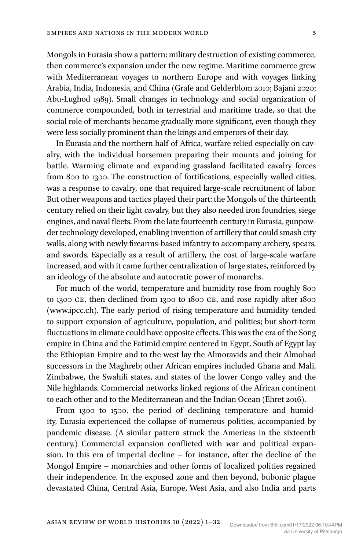Mongols in Eurasia show a pattern: military destruction of existing commerce, then commerce's expansion under the new regime. Maritime commerce grew with Mediterranean voyages to northern Europe and with voyages linking Arabia, India, Indonesia, and China (Grafe and Gelderblom 2010; Bajani 2020; Abu-Lughod 1989). Small changes in technology and social organization of commerce compounded, both in terrestrial and maritime trade, so that the social role of merchants became gradually more significant, even though they were less socially prominent than the kings and emperors of their day.

In Eurasia and the northern half of Africa, warfare relied especially on cavalry, with the individual horsemen preparing their mounts and joining for battle. Warming climate and expanding grassland facilitated cavalry forces from 800 to 1300. The construction of fortifications, especially walled cities, was a response to cavalry, one that required large-scale recruitment of labor. But other weapons and tactics played their part: the Mongols of the thirteenth century relied on their light cavalry, but they also needed iron foundries, siege engines, and naval fleets. From the late fourteenth century in Eurasia, gunpowder technology developed, enabling invention of artillery that could smash city walls, along with newly firearms-based infantry to accompany archery, spears, and swords. Especially as a result of artillery, the cost of large-scale warfare increased, and with it came further centralization of large states, reinforced by an ideology of the absolute and autocratic power of monarchs.

For much of the world, temperature and humidity rose from roughly 800 to 1300 CE, then declined from 1300 to 1800 CE, and rose rapidly after 1800 [\(www.ipcc.ch\)](http://www.ipcc.ch). The early period of rising temperature and humidity tended to support expansion of agriculture, population, and polities; but short-term fluctuations in climate could have opposite effects. This was the era of the Song empire in China and the Fatimid empire centered in Egypt. South of Egypt lay the Ethiopian Empire and to the west lay the Almoravids and their Almohad successors in the Maghreb; other African empires included Ghana and Mali, Zimbabwe, the Swahili states, and states of the lower Congo valley and the Nile highlands. Commercial networks linked regions of the African continent to each other and to the Mediterranean and the Indian Ocean (Ehret 2016).

From 1300 to 1500, the period of declining temperature and humidity, Eurasia experienced the collapse of numerous polities, accompanied by pandemic disease. (A similar pattern struck the Americas in the sixteenth century.) Commercial expansion conflicted with war and political expansion. In this era of imperial decline – for instance, after the decline of the Mongol Empire – monarchies and other forms of localized polities regained their independence. In the exposed zone and then beyond, bubonic plague devastated China, Central Asia, Europe, West Asia, and also India and parts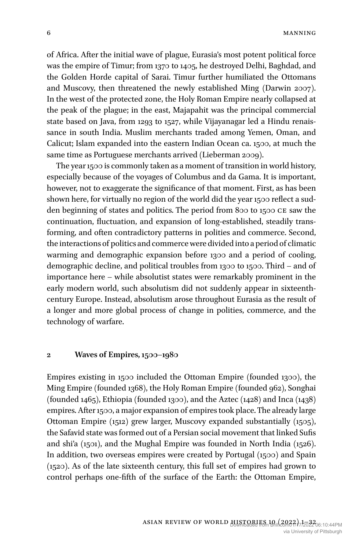of Africa. After the initial wave of plague, Eurasia's most potent political force was the empire of Timur; from 1370 to 1405, he destroyed Delhi, Baghdad, and the Golden Horde capital of Sarai. Timur further humiliated the Ottomans and Muscovy, then threatened the newly established Ming (Darwin 2007). In the west of the protected zone, the Holy Roman Empire nearly collapsed at the peak of the plague; in the east, Majapahit was the principal commercial state based on Java, from 1293 to 1527, while Vijayanagar led a Hindu renaissance in south India. Muslim merchants traded among Yemen, Oman, and Calicut; Islam expanded into the eastern Indian Ocean ca. 1500, at much the same time as Portuguese merchants arrived (Lieberman 2009).

The year 1500 is commonly taken as a moment of transition in world history, especially because of the voyages of Columbus and da Gama. It is important, however, not to exaggerate the significance of that moment. First, as has been shown here, for virtually no region of the world did the year 1500 reflect a sudden beginning of states and politics. The period from 800 to 1500 CE saw the continuation, fluctuation, and expansion of long-established, steadily transforming, and often contradictory patterns in polities and commerce. Second, the interactions of politics and commerce were divided into a period of climatic warming and demographic expansion before 1300 and a period of cooling, demographic decline, and political troubles from 1300 to 1500. Third – and of importance here – while absolutist states were remarkably prominent in the early modern world, such absolutism did not suddenly appear in sixteenthcentury Europe. Instead, absolutism arose throughout Eurasia as the result of a longer and more global process of change in polities, commerce, and the technology of warfare.

#### **2 Waves of Empires, 1500–1980**

Empires existing in 1500 included the Ottoman Empire (founded 1300), the Ming Empire (founded 1368), the Holy Roman Empire (founded 962), Songhai (founded 1465), Ethiopia (founded 1300), and the Aztec (1428) and Inca (1438) empires. After 1500, a major expansion of empires took place. The already large Ottoman Empire (1512) grew larger, Muscovy expanded substantially (1505), the Safavid state was formed out of a Persian social movement that linked Sufis and shi'a (1501), and the Mughal Empire was founded in North India (1526). In addition, two overseas empires were created by Portugal (1500) and Spain (1520). As of the late sixteenth century, this full set of empires had grown to control perhaps one-fifth of the surface of the Earth: the Ottoman Empire,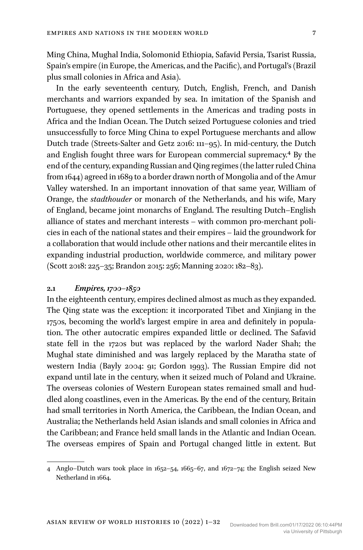Ming China, Mughal India, Solomonid Ethiopia, Safavid Persia, Tsarist Russia, Spain's empire (in Europe, the Americas, and the Pacific), and Portugal's (Brazil plus small colonies in Africa and Asia).

In the early seventeenth century, Dutch, English, French, and Danish merchants and warriors expanded by sea. In imitation of the Spanish and Portuguese, they opened settlements in the Americas and trading posts in Africa and the Indian Ocean. The Dutch seized Portuguese colonies and tried unsuccessfully to force Ming China to expel Portuguese merchants and allow Dutch trade (Streets-Salter and Getz 2016: 111–95). In mid-century, the Dutch and English fought three wars for European commercial supremacy.4 By the end of the century, expanding Russian and Qing regimes (the latter ruled China from 1644) agreed in 1689 to a border drawn north of Mongolia and of the Amur Valley watershed. In an important innovation of that same year, William of Orange, the *stadthouder* or monarch of the Netherlands, and his wife, Mary of England, became joint monarchs of England. The resulting Dutch–English alliance of states and merchant interests – with common pro-merchant policies in each of the national states and their empires – laid the groundwork for a collaboration that would include other nations and their mercantile elites in expanding industrial production, worldwide commerce, and military power (Scott 2018: 225–35; Brandon 2015: 256; Manning 2020: 182–83).

## **2.1** *Empires, 1700–1850*

In the eighteenth century, empires declined almost as much as they expanded. The Qing state was the exception: it incorporated Tibet and Xinjiang in the 1750s, becoming the world's largest empire in area and definitely in population. The other autocratic empires expanded little or declined. The Safavid state fell in the 1720s but was replaced by the warlord Nader Shah; the Mughal state diminished and was largely replaced by the Maratha state of western India (Bayly 2004: 91; Gordon 1993). The Russian Empire did not expand until late in the century, when it seized much of Poland and Ukraine. The overseas colonies of Western European states remained small and huddled along coastlines, even in the Americas. By the end of the century, Britain had small territories in North America, the Caribbean, the Indian Ocean, and Australia**;** the Netherlands held Asian islands and small colonies in Africa and the Caribbean; and France held small lands in the Atlantic and Indian Ocean. The overseas empires of Spain and Portugal changed little in extent. But

<sup>4</sup> Anglo–Dutch wars took place in 1652–54, 1665–67, and 1672–74; the English seized New Netherland in 1664.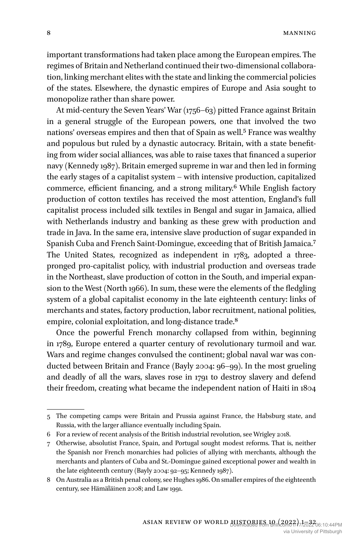important transformations had taken place among the European empires. The regimes of Britain and Netherland continued their two-dimensional collaboration, linking merchant elites with the state and linking the commercial policies of the states. Elsewhere, the dynastic empires of Europe and Asia sought to monopolize rather than share power.

At mid-century the Seven Years' War (1756–63) pitted France against Britain in a general struggle of the European powers, one that involved the two nations' overseas empires and then that of Spain as well.5 France was wealthy and populous but ruled by a dynastic autocracy. Britain, with a state benefiting from wider social alliances, was able to raise taxes that financed a superior navy (Kennedy 1987). Britain emerged supreme in war and then led in forming the early stages of a capitalist system – with intensive production, capitalized commerce, efficient financing, and a strong military.6 While English factory production of cotton textiles has received the most attention, England's full capitalist process included silk textiles in Bengal and sugar in Jamaica, allied with Netherlands industry and banking as these grew with production and trade in Java. In the same era, intensive slave production of sugar expanded in Spanish Cuba and French Saint-Domingue, exceeding that of British Jamaica.7 The United States, recognized as independent in 1783, adopted a threepronged pro-capitalist policy, with industrial production and overseas trade in the Northeast, slave production of cotton in the South, and imperial expansion to the West (North 1966). In sum, these were the elements of the fledgling system of a global capitalist economy in the late eighteenth century: links of merchants and states, factory production, labor recruitment, national polities, empire, colonial exploitation, and long-distance trade.<sup>8</sup>

Once the powerful French monarchy collapsed from within, beginning in 1789, Europe entered a quarter century of revolutionary turmoil and war. Wars and regime changes convulsed the continent; global naval war was conducted between Britain and France (Bayly 2004: 96–99). In the most grueling and deadly of all the wars, slaves rose in 1791 to destroy slavery and defend their freedom, creating what became the independent nation of Haiti in 1804

<sup>5</sup> The competing camps were Britain and Prussia against France, the Habsburg state, and Russia, with the larger alliance eventually including Spain.

<sup>6</sup> For a review of recent analysis of the British industrial revolution, see Wrigley 2018.

<sup>7</sup> Otherwise, absolutist France, Spain, and Portugal sought modest reforms. That is, neither the Spanish nor French monarchies had policies of allying with merchants, although the merchants and planters of Cuba and St.-Domingue gained exceptional power and wealth in the late eighteenth century (Bayly 2004: 92–95; Kennedy 1987).

<sup>8</sup> On Australia as a British penal colony, see Hughes 1986. On smaller empires of the eighteenth century, see Hämäläinen 2008; and Law 1991.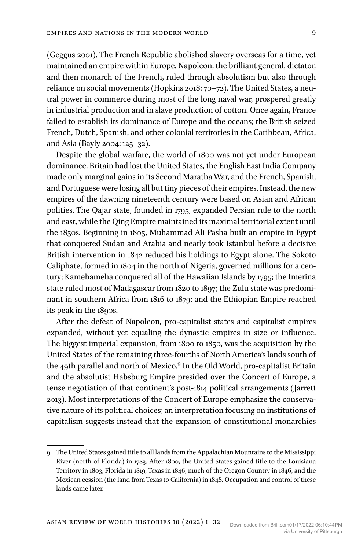(Geggus 2001). The French Republic abolished slavery overseas for a time, yet maintained an empire within Europe. Napoleon, the brilliant general, dictator, and then monarch of the French, ruled through absolutism but also through reliance on social movements (Hopkins 2018: 70–72). The United States, a neutral power in commerce during most of the long naval war, prospered greatly in industrial production and in slave production of cotton. Once again, France failed to establish its dominance of Europe and the oceans; the British seized French, Dutch, Spanish, and other colonial territories in the Caribbean, Africa, and Asia (Bayly 2004: 125–32).

Despite the global warfare, the world of 1800 was not yet under European dominance. Britain had lost the United States, the English East India Company made only marginal gains in its Second Maratha War, and the French, Spanish, and Portuguese were losing all but tiny pieces of their empires. Instead, the new empires of the dawning nineteenth century were based on Asian and African polities. The Qajar state, founded in 1795, expanded Persian rule to the north and east, while the Qing Empire maintained its maximal territorial extent until the 1850s. Beginning in 1805, Muhammad Ali Pasha built an empire in Egypt that conquered Sudan and Arabia and nearly took Istanbul before a decisive British intervention in 1842 reduced his holdings to Egypt alone. The Sokoto Caliphate, formed in 1804 in the north of Nigeria, governed millions for a century; Kamehameha conquered all of the Hawaiian Islands by 1795; the Imerina state ruled most of Madagascar from 1820 to 1897; the Zulu state was predominant in southern Africa from 1816 to 1879; and the Ethiopian Empire reached its peak in the 1890s.

After the defeat of Napoleon, pro-capitalist states and capitalist empires expanded, without yet equaling the dynastic empires in size or influence. The biggest imperial expansion, from 1800 to 1850, was the acquisition by the United States of the remaining three-fourths of North America's lands south of the 49th parallel and north of Mexico.<sup>9</sup> In the Old World, pro-capitalist Britain and the absolutist Habsburg Empire presided over the Concert of Europe, a tense negotiation of that continent's post-1814 political arrangements (Jarrett 2013). Most interpretations of the Concert of Europe emphasize the conservative nature of its political choices; an interpretation focusing on institutions of capitalism suggests instead that the expansion of constitutional monarchies

<sup>9</sup> The United States gained title to all lands from the Appalachian Mountains to the Mississippi River (north of Florida) in 1783. After 1800, the United States gained title to the Louisiana Territory in 1803, Florida in 1819, Texas in 1846, much of the Oregon Country in 1846, and the Mexican cession (the land from Texas to California) in 1848. Occupation and control of these lands came later.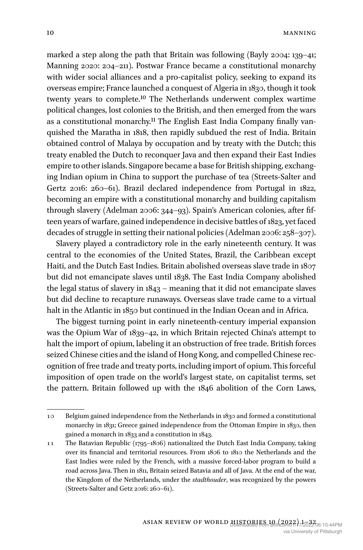marked a step along the path that Britain was following (Bayly 2004: 139–41; Manning 2020: 204–211). Postwar France became a constitutional monarchy with wider social alliances and a pro-capitalist policy, seeking to expand its overseas empire; France launched a conquest of Algeria in 1830, though it took twenty years to complete.10 The Netherlands underwent complex wartime political changes, lost colonies to the British, and then emerged from the wars as a constitutional monarchy.11 The English East India Company finally vanquished the Maratha in 1818, then rapidly subdued the rest of India. Britain obtained control of Malaya by occupation and by treaty with the Dutch; this treaty enabled the Dutch to reconquer Java and then expand their East Indies empire to other islands. Singapore became a base for British shipping, exchanging Indian opium in China to support the purchase of tea (Streets-Salter and Gertz 2016: 260–61). Brazil declared independence from Portugal in 1822, becoming an empire with a constitutional monarchy and building capitalism through slavery (Adelman 2006: 344–93). Spain's American colonies, after fifteen years of warfare, gained independence in decisive battles of 1823, yet faced decades of struggle in setting their national policies (Adelman 2006: 258–307).

Slavery played a contradictory role in the early nineteenth century. It was central to the economies of the United States, Brazil, the Caribbean except Haiti, and the Dutch East Indies. Britain abolished overseas slave trade in 1807 but did not emancipate slaves until 1838. The East India Company abolished the legal status of slavery in 1843 – meaning that it did not emancipate slaves but did decline to recapture runaways. Overseas slave trade came to a virtual halt in the Atlantic in 1850 but continued in the Indian Ocean and in Africa.

The biggest turning point in early nineteenth-century imperial expansion was the Opium War of 1839–42, in which Britain rejected China's attempt to halt the import of opium, labeling it an obstruction of free trade. British forces seized Chinese cities and the island of Hong Kong, and compelled Chinese recognition of free trade and treaty ports, including import of opium. This forceful imposition of open trade on the world's largest state, on capitalist terms, set the pattern. Britain followed up with the 1846 abolition of the Corn Laws,

<sup>10</sup> Belgium gained independence from the Netherlands in 1830 and formed a constitutional monarchy in 1831; Greece gained independence from the Ottoman Empire in 1830, then gained a monarch in 1833 and a constitution in 1843.

<sup>11</sup> The Batavian Republic (1795–1806) nationalized the Dutch East India Company, taking over its financial and territorial resources. From 1806 to 1810 the Netherlands and the East Indies were ruled by the French, with a massive forced-labor program to build a road across Java. Then in 1811, Britain seized Batavia and all of Java. At the end of the war, the Kingdom of the Netherlands, under the *stadthouder*, was recognized by the powers (Streets-Salter and Getz 2016: 260–61).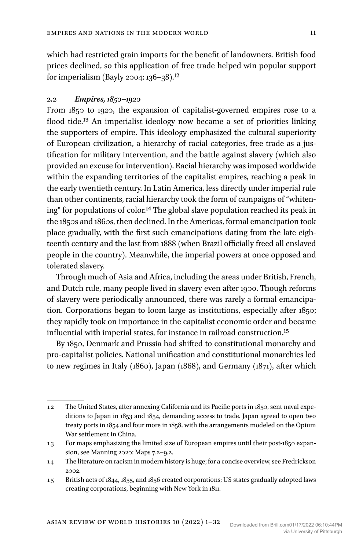which had restricted grain imports for the benefit of landowners. British food prices declined, so this application of free trade helped win popular support for imperialism (Bayly 2004: 136–38).<sup>12</sup>

## **2.2** *Empires, 1850–1920*

From 1850 to 1920, the expansion of capitalist-governed empires rose to a flood tide.13 An imperialist ideology now became a set of priorities linking the supporters of empire. This ideology emphasized the cultural superiority of European civilization, a hierarchy of racial categories, free trade as a justification for military intervention, and the battle against slavery (which also provided an excuse for intervention). Racial hierarchy was imposed worldwide within the expanding territories of the capitalist empires, reaching a peak in the early twentieth century. In Latin America, less directly under imperial rule than other continents, racial hierarchy took the form of campaigns of "whitening" for populations of color.14 The global slave population reached its peak in the 1850s and 1860s, then declined. In the Americas, formal emancipation took place gradually, with the first such emancipations dating from the late eighteenth century and the last from 1888 (when Brazil officially freed all enslaved people in the country). Meanwhile, the imperial powers at once opposed and tolerated slavery.

Through much of Asia and Africa, including the areas under British, French, and Dutch rule, many people lived in slavery even after 1900. Though reforms of slavery were periodically announced, there was rarely a formal emancipation. Corporations began to loom large as institutions, especially after 1850; they rapidly took on importance in the capitalist economic order and became influential with imperial states, for instance in railroad construction.15

By 1850, Denmark and Prussia had shifted to constitutional monarchy and pro-capitalist policies. National unification and constitutional monarchies led to new regimes in Italy (1860), Japan (1868), and Germany (1871), after which

<sup>12</sup> The United States, after annexing California and its Pacific ports in 1850, sent naval expeditions to Japan in 1853 and 1854, demanding access to trade. Japan agreed to open two treaty ports in 1854 and four more in 1858, with the arrangements modeled on the Opium War settlement in China.

<sup>13</sup> For maps emphasizing the limited size of European empires until their post-1850 expansion, see Manning 2020: Maps 7.2–9.2.

<sup>14</sup> The literature on racism in modern history is huge; for a concise overview, see Fredrickson 2002.

<sup>15</sup> British acts of 1844, 1855, and 1856 created corporations; US states gradually adopted laws creating corporations, beginning with New York in 1811.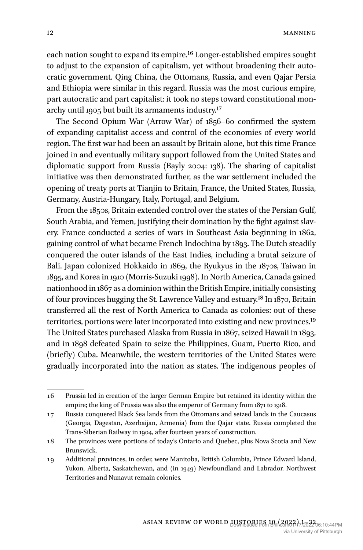each nation sought to expand its empire.16 Longer-established empires sought to adjust to the expansion of capitalism, yet without broadening their autocratic government. Qing China, the Ottomans, Russia, and even Qajar Persia and Ethiopia were similar in this regard. Russia was the most curious empire, part autocratic and part capitalist: it took no steps toward constitutional monarchy until 1905 but built its armaments industry.17

The Second Opium War (Arrow War) of 1856–60 confirmed the system of expanding capitalist access and control of the economies of every world region. The first war had been an assault by Britain alone, but this time France joined in and eventually military support followed from the United States and diplomatic support from Russia (Bayly 2004: 138). The sharing of capitalist initiative was then demonstrated further, as the war settlement included the opening of treaty ports at Tianjin to Britain, France, the United States, Russia, Germany, Austria-Hungary, Italy, Portugal, and Belgium.

From the 1850s, Britain extended control over the states of the Persian Gulf, South Arabia, and Yemen, justifying their domination by the fight against slavery. France conducted a series of wars in Southeast Asia beginning in 1862, gaining control of what became French Indochina by 1893. The Dutch steadily conquered the outer islands of the East Indies, including a brutal seizure of Bali. Japan colonized Hokkaido in 1869, the Ryukyus in the 1870s, Taiwan in 1895, and Korea in 1910 (Morris-Suzuki 1998). In North America, Canada gained nationhood in 1867 as a dominion within the British Empire, initially consisting of four provinces hugging the St. Lawrence Valley and estuary.18 In 1870, Britain transferred all the rest of North America to Canada as colonies: out of these territories, portions were later incorporated into existing and new provinces.19 The United States purchased Alaska from Russia in 1867, seized Hawaii in 1893, and in 1898 defeated Spain to seize the Philippines, Guam, Puerto Rico, and (briefly) Cuba. Meanwhile, the western territories of the United States were gradually incorporated into the nation as states. The indigenous peoples of

<sup>16</sup> Prussia led in creation of the larger German Empire but retained its identity within the empire; the king of Prussia was also the emperor of Germany from 1871 to 1918.

<sup>17</sup> Russia conquered Black Sea lands from the Ottomans and seized lands in the Caucasus (Georgia, Dagestan, Azerbaijan, Armenia) from the Qajar state. Russia completed the Trans-Siberian Railway in 1904, after fourteen years of construction.

<sup>18</sup> The provinces were portions of today's Ontario and Quebec, plus Nova Scotia and New Brunswick.

<sup>19</sup> Additional provinces, in order, were Manitoba, British Columbia, Prince Edward Island, Yukon, Alberta, Saskatchewan, and (in 1949) Newfoundland and Labrador. Northwest Territories and Nunavut remain colonies.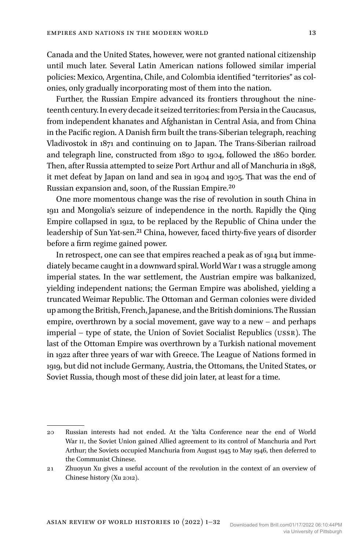Canada and the United States, however, were not granted national citizenship until much later. Several Latin American nations followed similar imperial policies: Mexico, Argentina, Chile, and Colombia identified "territories" as colonies, only gradually incorporating most of them into the nation.

Further, the Russian Empire advanced its frontiers throughout the nineteenth century. In every decade it seized territories: from Persia in the Caucasus, from independent khanates and Afghanistan in Central Asia, and from China in the Pacific region. A Danish firm built the trans-Siberian telegraph, reaching Vladivostok in 1871 and continuing on to Japan. The Trans-Siberian railroad and telegraph line, constructed from 1890 to 1904, followed the 1860 border. Then, after Russia attempted to seize Port Arthur and all of Manchuria in 1898, it met defeat by Japan on land and sea in 1904 and 1905. That was the end of Russian expansion and, soon, of the Russian Empire.20

One more momentous change was the rise of revolution in south China in 1911 and Mongolia's seizure of independence in the north. Rapidly the Qing Empire collapsed in 1912, to be replaced by the Republic of China under the leadership of Sun Yat-sen.<sup>21</sup> China, however, faced thirty-five years of disorder before a firm regime gained power.

In retrospect, one can see that empires reached a peak as of 1914 but immediately became caught in a downward spiral. World War I was a struggle among imperial states. In the war settlement, the Austrian empire was balkanized, yielding independent nations; the German Empire was abolished, yielding a truncated Weimar Republic. The Ottoman and German colonies were divided up among the British, French, Japanese, and the British dominions. The Russian empire, overthrown by a social movement, gave way to a new – and perhaps imperial – type of state, the Union of Soviet Socialist Republics (USSR). The last of the Ottoman Empire was overthrown by a Turkish national movement in 1922 after three years of war with Greece. The League of Nations formed in 1919, but did not include Germany, Austria, the Ottomans, the United States, or Soviet Russia, though most of these did join later, at least for a time.

<sup>20</sup> Russian interests had not ended. At the Yalta Conference near the end of World War II, the Soviet Union gained Allied agreement to its control of Manchuria and Port Arthur; the Soviets occupied Manchuria from August 1945 to May 1946, then deferred to the Communist Chinese.

<sup>21</sup> Zhuoyun Xu gives a useful account of the revolution in the context of an overview of Chinese history (Xu 2012).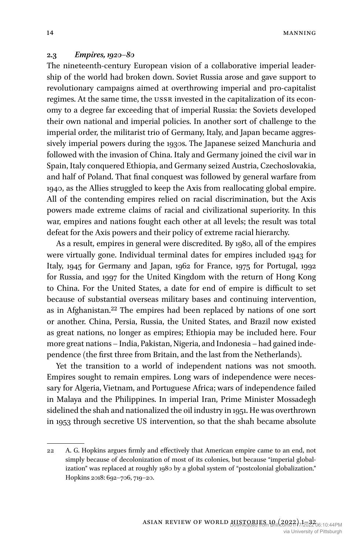14 MANNING

#### **2.3** *Empires, 1920–80*

The nineteenth-century European vision of a collaborative imperial leadership of the world had broken down. Soviet Russia arose and gave support to revolutionary campaigns aimed at overthrowing imperial and pro-capitalist regimes. At the same time, the USSR invested in the capitalization of its economy to a degree far exceeding that of imperial Russia: the Soviets developed their own national and imperial policies. In another sort of challenge to the imperial order, the militarist trio of Germany, Italy, and Japan became aggressively imperial powers during the 1930s. The Japanese seized Manchuria and followed with the invasion of China. Italy and Germany joined the civil war in Spain, Italy conquered Ethiopia, and Germany seized Austria, Czechoslovakia, and half of Poland. That final conquest was followed by general warfare from 1940, as the Allies struggled to keep the Axis from reallocating global empire. All of the contending empires relied on racial discrimination, but the Axis powers made extreme claims of racial and civilizational superiority. In this war, empires and nations fought each other at all levels; the result was total defeat for the Axis powers and their policy of extreme racial hierarchy.

As a result, empires in general were discredited. By 1980, all of the empires were virtually gone. Individual terminal dates for empires included 1943 for Italy, 1945 for Germany and Japan, 1962 for France, 1975 for Portugal, 1992 for Russia, and 1997 for the United Kingdom with the return of Hong Kong to China. For the United States, a date for end of empire is difficult to set because of substantial overseas military bases and continuing intervention, as in Afghanistan.22 The empires had been replaced by nations of one sort or another. China, Persia, Russia, the United States, and Brazil now existed as great nations, no longer as empires; Ethiopia may be included here. Four more great nations – India, Pakistan, Nigeria, and Indonesia – had gained independence (the first three from Britain, and the last from the Netherlands).

Yet the transition to a world of independent nations was not smooth. Empires sought to remain empires. Long wars of independence were necessary for Algeria, Vietnam, and Portuguese Africa; wars of independence failed in Malaya and the Philippines. In imperial Iran, Prime Minister Mossadegh sidelined the shah and nationalized the oil industry in 1951. He was overthrown in 1953 through secretive US intervention, so that the shah became absolute

<sup>22</sup> A. G. Hopkins argues firmly and effectively that American empire came to an end, not simply because of decolonization of most of its colonies, but because "imperial globalization" was replaced at roughly 1980 by a global system of "postcolonial globalization." Hopkins 2018: 692–706, 719–20.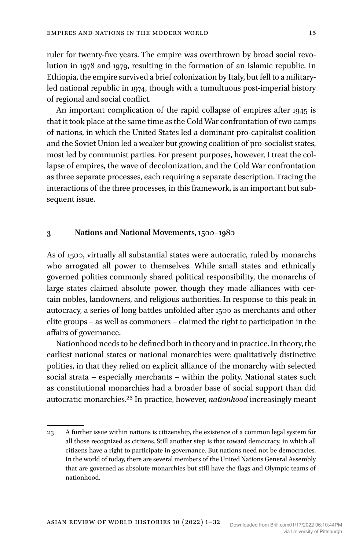ruler for twenty-five years. The empire was overthrown by broad social revolution in 1978 and 1979, resulting in the formation of an Islamic republic. In Ethiopia, the empire survived a brief colonization by Italy, but fell to a militaryled national republic in 1974, though with a tumultuous post-imperial history of regional and social conflict.

An important complication of the rapid collapse of empires after 1945 is that it took place at the same time as the Cold War confrontation of two camps of nations, in which the United States led a dominant pro-capitalist coalition and the Soviet Union led a weaker but growing coalition of pro-socialist states, most led by communist parties. For present purposes, however, I treat the collapse of empires, the wave of decolonization, and the Cold War confrontation as three separate processes, each requiring a separate description. Tracing the interactions of the three processes, in this framework, is an important but subsequent issue.

#### **3 Nations and National Movements, 1500–1980**

As of 1500, virtually all substantial states were autocratic, ruled by monarchs who arrogated all power to themselves. While small states and ethnically governed polities commonly shared political responsibility, the monarchs of large states claimed absolute power, though they made alliances with certain nobles, landowners, and religious authorities. In response to this peak in autocracy, a series of long battles unfolded after 1500 as merchants and other elite groups – as well as commoners – claimed the right to participation in the affairs of governance.

Nationhood needs to be defined both in theory and in practice. In theory, the earliest national states or national monarchies were qualitatively distinctive polities, in that they relied on explicit alliance of the monarchy with selected social strata – especially merchants – within the polity. National states such as constitutional monarchies had a broader base of social support than did autocratic monarchies.23 In practice, however, *nationhood* increasingly meant

<sup>23</sup> A further issue within nations is citizenship, the existence of a common legal system for all those recognized as citizens. Still another step is that toward democracy, in which all citizens have a right to participate in governance. But nations need not be democracies. In the world of today, there are several members of the United Nations General Assembly that are governed as absolute monarchies but still have the flags and Olympic teams of nationhood.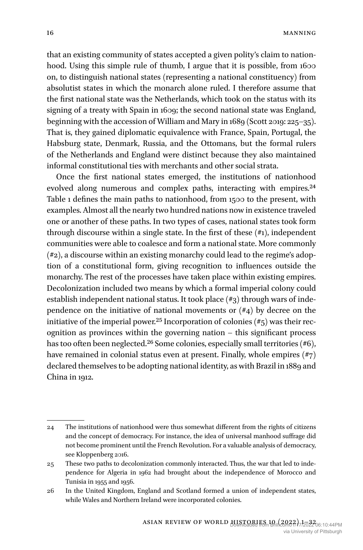that an existing community of states accepted a given polity's claim to nationhood. Using this simple rule of thumb, I argue that it is possible, from 1600 on, to distinguish national states (representing a national constituency) from absolutist states in which the monarch alone ruled. I therefore assume that the first national state was the Netherlands, which took on the status with its signing of a treaty with Spain in 1609; the second national state was England, beginning with the accession of William and Mary in 1689 (Scott 2019: 225–35). That is, they gained diplomatic equivalence with France, Spain, Portugal, the Habsburg state, Denmark, Russia, and the Ottomans, but the formal rulers of the Netherlands and England were distinct because they also maintained informal constitutional ties with merchants and other social strata.

Once the first national states emerged, the institutions of nationhood evolved along numerous and complex paths, interacting with empires.<sup>24</sup> Table 1 defines the main paths to nationhood, from 1500 to the present, with examples. Almost all the nearly two hundred nations now in existence traveled one or another of these paths. In two types of cases, national states took form through discourse within a single state. In the first of these  $(\#_1)$ , independent communities were able to coalesce and form a national state. More commonly (#2), a discourse within an existing monarchy could lead to the regime's adoption of a constitutional form, giving recognition to influences outside the monarchy. The rest of the processes have taken place within existing empires. Decolonization included two means by which a formal imperial colony could establish independent national status. It took place (#3) through wars of independence on the initiative of national movements or  $(\#4)$  by decree on the initiative of the imperial power.<sup>25</sup> Incorporation of colonies  $(\#_5)$  was their recognition as provinces within the governing nation – this significant process has too often been neglected.<sup>26</sup> Some colonies, especially small territories (#6), have remained in colonial status even at present. Finally, whole empires (#7) declared themselves to be adopting national identity, as with Brazil in 1889 and China in 1912.

<sup>24</sup> The institutions of nationhood were thus somewhat different from the rights of citizens and the concept of democracy. For instance, the idea of universal manhood suffrage did not become prominent until the French Revolution. For a valuable analysis of democracy, see Kloppenberg 2016.

<sup>25</sup> These two paths to decolonization commonly interacted. Thus, the war that led to independence for Algeria in 1962 had brought about the independence of Morocco and Tunisia in 1955 and 1956.

<sup>26</sup> In the United Kingdom, England and Scotland formed a union of independent states, while Wales and Northern Ireland were incorporated colonies.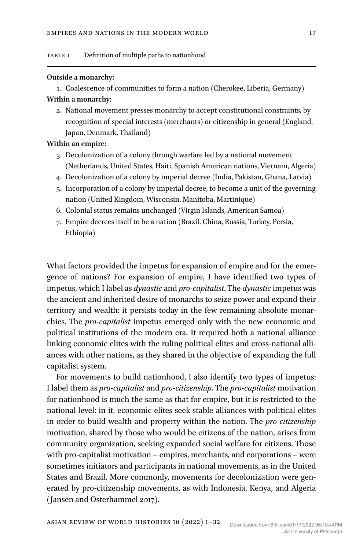#### **Outside a monarchy:**

1. Coalescence of communities to form a nation (Cherokee, Liberia, Germany)

# **Within a monarchy:**

2. National movement presses monarchy to accept constitutional constraints, by recognition of special interests (merchants) or citizenship in general (England, Japan, Denmark, Thailand)

## **Within an empire:**

- 3. Decolonization of a colony through warfare led by a national movement (Netherlands, United States, Haiti, Spanish American nations, Vietnam, Algeria)
- 4. Decolonization of a colony by imperial decree (India, Pakistan, Ghana, Latvia)
- 5. Incorporation of a colony by imperial decree, to become a unit of the governing nation (United Kingdom, Wisconsin, Manitoba, Martinique)
- 6. Colonial status remains unchanged (Virgin Islands, American Samoa)
- 7. Empire decrees itself to be a nation (Brazil, China, Russia, Turkey, Persia, Ethiopia)

What factors provided the impetus for expansion of empire and for the emergence of nations? For expansion of empire, I have identified two types of impetus, which I label as *dynastic* and *pro-capitalist*. The *dynastic* impetus was the ancient and inherited desire of monarchs to seize power and expand their territory and wealth: it persists today in the few remaining absolute monarchies. The *pro-capitalist* impetus emerged only with the new economic and political institutions of the modern era. It required both a national alliance linking economic elites with the ruling political elites and cross-national alliances with other nations, as they shared in the objective of expanding the full capitalist system.

For movements to build nationhood, I also identify two types of impetus: I label them as *pro-capitalist* and *pro-citizenship*. The *pro-capitalist* motivation for nationhood is much the same as that for empire, but it is restricted to the national level: in it, economic elites seek stable alliances with political elites in order to build wealth and property within the nation. The *pro-citizenship* motivation, shared by those who would be citizens of the nation, arises from community organization, seeking expanded social welfare for citizens. Those with pro-capitalist motivation – empires, merchants, and corporations – were sometimes initiators and participants in national movements, as in the United States and Brazil. More commonly, movements for decolonization were generated by pro-citizenship movements, as with Indonesia, Kenya, and Algeria (Jansen and Osterhammel 2017).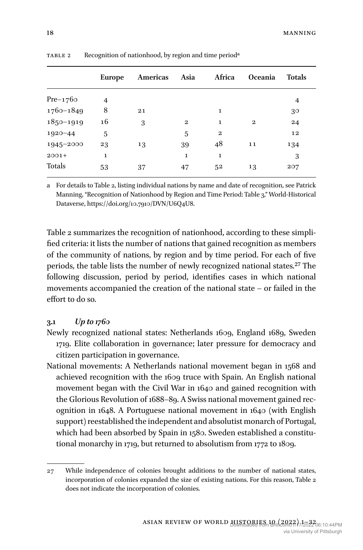|               | <b>Europe</b> | Americas | Asia         | Africa       | <b>Oceania</b> | <b>Totals</b> |  |
|---------------|---------------|----------|--------------|--------------|----------------|---------------|--|
| $Pre-1760$    | 4             |          |              |              |                | 4             |  |
| $1760 - 1849$ | 8             | 21       |              | 1            |                | 30            |  |
| $1850 - 1919$ | 16            | 3        | $\mathbf{2}$ | 1            | $\mathbf{2}$   | 24            |  |
| $1920 - 44$   | 5             |          | 5            | $\mathbf{2}$ |                | 12            |  |
| 1945-2000     | 23            | 13       | 39           | 48           | 11             | 134           |  |
| $2001+$       | $\mathbf 1$   |          | 1            | 1            |                | 3             |  |
| Totals        | 53            | 37       | 47           | 52           | 13             | 207           |  |

TABLE 2 Recognition of nationhood, by region and time period<sup>a</sup>

a For details to Table 2, listing individual nations by name and date of recognition, see Patrick Manning, "Recognition of Nationhood by Region and Time Period: Table 3," World-Historical Dataverse, <https://doi.org/10.7910/DVN/U6Q4U8>.

Table 2 summarizes the recognition of nationhood, according to these simplified criteria: it lists the number of nations that gained recognition as members of the community of nations, by region and by time period. For each of five periods, the table lists the number of newly recognized national states.<sup>27</sup> The following discussion, period by period, identifies cases in which national movements accompanied the creation of the national state – or failed in the effort to do so.

#### **3.1** *Up to 1760*

- Newly recognized national states: Netherlands 1609, England 1689, Sweden 1719. Elite collaboration in governance; later pressure for democracy and citizen participation in governance.
- National movements: A Netherlands national movement began in 1568 and achieved recognition with the 1609 truce with Spain. An English national movement began with the Civil War in 1640 and gained recognition with the Glorious Revolution of 1688–89. A Swiss national movement gained recognition in 1648. A Portuguese national movement in 1640 (with English support) reestablished the independent and absolutist monarch of Portugal, which had been absorbed by Spain in 1580. Sweden established a constitutional monarchy in 1719, but returned to absolutism from 1772 to 1809.

<sup>27</sup> While independence of colonies brought additions to the number of national states, incorporation of colonies expanded the size of existing nations. For this reason, Table 2 does not indicate the incorporation of colonies.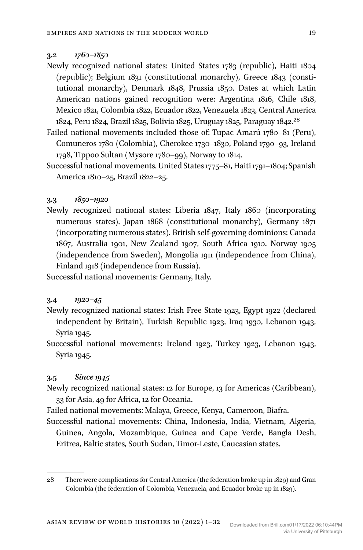#### **3.2** *1760–1850*

- Newly recognized national states: United States 1783 (republic), Haiti 1804 (republic); Belgium 1831 (constitutional monarchy), Greece 1843 (constitutional monarchy), Denmark 1848, Prussia 1850. Dates at which Latin American nations gained recognition were: Argentina 1816, Chile 1818, Mexico 1821, Colombia 1822, Ecuador 1822, Venezuela 1823, Central America 1824, Peru 1824, Brazil 1825, Bolivia 1825, Uruguay 1825, Paraguay 1842.28
- Failed national movements included those of: Tupac Amarú 1780–81 (Peru), Comuneros 1780 (Colombia), Cherokee 1730–1830, Poland 1790–93, Ireland 1798, Tippoo Sultan (Mysore 1780–99), Norway to 1814.
- Successful national movements. United States 1775–81, Haiti 1791–1804; Spanish America 1810–25, Brazil 1822–25.

#### **3.3** *1850–1920*

Newly recognized national states: Liberia 1847, Italy 1860 (incorporating numerous states), Japan 1868 (constitutional monarchy), Germany 1871 (incorporating numerous states). British self-governing dominions: Canada 1867, Australia 1901, New Zealand 1907, South Africa 1910. Norway 1905 (independence from Sweden), Mongolia 1911 (independence from China), Finland 1918 (independence from Russia).

Successful national movements: Germany, Italy.

#### **3.4** *1920–45*

- Newly recognized national states: Irish Free State 1923, Egypt 1922 (declared independent by Britain), Turkish Republic 1923, Iraq 1930, Lebanon 1943, Syria 1945.
- Successful national movements: Ireland 1923, Turkey 1923, Lebanon 1943, Syria 1945.

## **3.5** *Since 1945*

- Newly recognized national states: 12 for Europe, 13 for Americas (Caribbean), 33 for Asia, 49 for Africa, 12 for Oceania.
- Failed national movements: Malaya, Greece, Kenya, Cameroon, Biafra.
- Successful national movements: China, Indonesia, India, Vietnam, Algeria, Guinea, Angola, Mozambique, Guinea and Cape Verde, Bangla Desh, Eritrea, Baltic states, South Sudan, Timor-Leste, Caucasian states.

<sup>28</sup> There were complications for Central America (the federation broke up in 1829) and Gran Colombia (the federation of Colombia, Venezuela, and Ecuador broke up in 1829).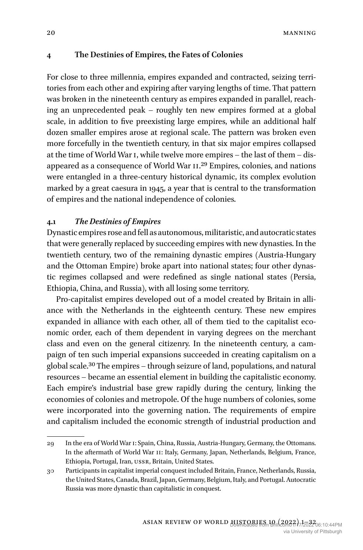## **4 The Destinies of Empires, the Fates of Colonies**

For close to three millennia, empires expanded and contracted, seizing territories from each other and expiring after varying lengths of time. That pattern was broken in the nineteenth century as empires expanded in parallel, reaching an unprecedented peak – roughly ten new empires formed at a global scale, in addition to five preexisting large empires, while an additional half dozen smaller empires arose at regional scale. The pattern was broken even more forcefully in the twentieth century, in that six major empires collapsed at the time of World War I, while twelve more empires – the last of them – disappeared as a consequence of World War II.29 Empires, colonies, and nations were entangled in a three-century historical dynamic, its complex evolution marked by a great caesura in 1945, a year that is central to the transformation of empires and the national independence of colonies.

## **4.1** *The Destinies of Empires*

Dynastic empires rose and fell as autonomous, militaristic, and autocratic states that were generally replaced by succeeding empires with new dynasties. In the twentieth century, two of the remaining dynastic empires (Austria-Hungary and the Ottoman Empire) broke apart into national states; four other dynastic regimes collapsed and were redefined as single national states (Persia, Ethiopia, China, and Russia), with all losing some territory.

Pro-capitalist empires developed out of a model created by Britain in alliance with the Netherlands in the eighteenth century. These new empires expanded in alliance with each other, all of them tied to the capitalist economic order, each of them dependent in varying degrees on the merchant class and even on the general citizenry. In the nineteenth century, a campaign of ten such imperial expansions succeeded in creating capitalism on a global scale.30 The empires – through seizure of land, populations, and natural resources – became an essential element in building the capitalistic economy. Each empire's industrial base grew rapidly during the century, linking the economies of colonies and metropole. Of the huge numbers of colonies, some were incorporated into the governing nation. The requirements of empire and capitalism included the economic strength of industrial production and

<sup>29</sup> In the era of World War I: Spain, China, Russia, Austria-Hungary, Germany, the Ottomans. In the aftermath of World War II: Italy, Germany, Japan, Netherlands, Belgium, France, Ethiopia, Portugal, Iran, USSR, Britain, United States.

<sup>30</sup> Participants in capitalist imperial conquest included Britain, France, Netherlands, Russia, the United States, Canada, Brazil, Japan, Germany, Belgium, Italy, and Portugal. Autocratic Russia was more dynastic than capitalistic in conquest.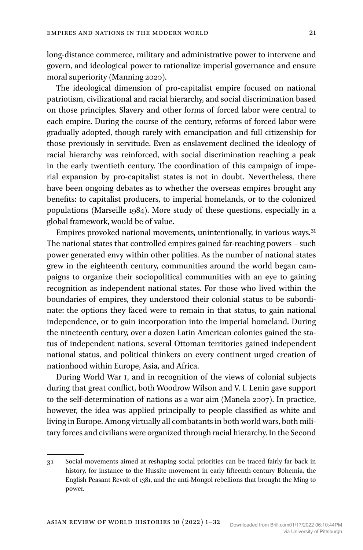long-distance commerce, military and administrative power to intervene and govern, and ideological power to rationalize imperial governance and ensure moral superiority (Manning 2020).

The ideological dimension of pro-capitalist empire focused on national patriotism, civilizational and racial hierarchy, and social discrimination based on those principles. Slavery and other forms of forced labor were central to each empire. During the course of the century, reforms of forced labor were gradually adopted, though rarely with emancipation and full citizenship for those previously in servitude. Even as enslavement declined the ideology of racial hierarchy was reinforced, with social discrimination reaching a peak in the early twentieth century. The coordination of this campaign of imperial expansion by pro-capitalist states is not in doubt. Nevertheless, there have been ongoing debates as to whether the overseas empires brought any benefits: to capitalist producers, to imperial homelands, or to the colonized populations (Marseille 1984). More study of these questions, especially in a global framework, would be of value.

Empires provoked national movements, unintentionally, in various ways.31 The national states that controlled empires gained far-reaching powers – such power generated envy within other polities. As the number of national states grew in the eighteenth century, communities around the world began campaigns to organize their sociopolitical communities with an eye to gaining recognition as independent national states. For those who lived within the boundaries of empires, they understood their colonial status to be subordinate: the options they faced were to remain in that status, to gain national independence, or to gain incorporation into the imperial homeland. During the nineteenth century, over a dozen Latin American colonies gained the status of independent nations, several Ottoman territories gained independent national status, and political thinkers on every continent urged creation of nationhood within Europe, Asia, and Africa.

During World War I, and in recognition of the views of colonial subjects during that great conflict, both Woodrow Wilson and V. I. Lenin gave support to the self-determination of nations as a war aim (Manela 2007). In practice, however, the idea was applied principally to people classified as white and living in Europe. Among virtually all combatants in both world wars, both military forces and civilians were organized through racial hierarchy. In the Second

<sup>31</sup> Social movements aimed at reshaping social priorities can be traced fairly far back in history, for instance to the Hussite movement in early fifteenth-century Bohemia, the English Peasant Revolt of 1381, and the anti-Mongol rebellions that brought the Ming to power.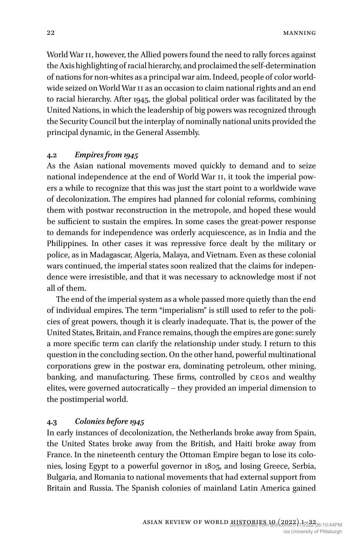World War II, however, the Allied powers found the need to rally forces against the Axis highlighting of racial hierarchy, and proclaimed the self-determination of nations for non-whites as a principal war aim. Indeed, people of color worldwide seized on World War II as an occasion to claim national rights and an end to racial hierarchy. After 1945, the global political order was facilitated by the United Nations, in which the leadership of big powers was recognized through the Security Council but the interplay of nominally national units provided the principal dynamic, in the General Assembly.

#### **4.2** *Empires from 1945*

As the Asian national movements moved quickly to demand and to seize national independence at the end of World War II, it took the imperial powers a while to recognize that this was just the start point to a worldwide wave of decolonization. The empires had planned for colonial reforms, combining them with postwar reconstruction in the metropole, and hoped these would be sufficient to sustain the empires. In some cases the great-power response to demands for independence was orderly acquiescence, as in India and the Philippines. In other cases it was repressive force dealt by the military or police, as in Madagascar, Algeria, Malaya, and Vietnam. Even as these colonial wars continued, the imperial states soon realized that the claims for independence were irresistible, and that it was necessary to acknowledge most if not all of them.

The end of the imperial system as a whole passed more quietly than the end of individual empires. The term "imperialism" is still used to refer to the policies of great powers, though it is clearly inadequate. That is, the power of the United States, Britain, and France remains, though the empires are gone: surely a more specific term can clarify the relationship under study. I return to this question in the concluding section. On the other hand, powerful multinational corporations grew in the postwar era, dominating petroleum, other mining, banking, and manufacturing. These firms, controlled by CEOs and wealthy elites, were governed autocratically – they provided an imperial dimension to the postimperial world.

## **4.3** *Colonies before 1945*

In early instances of decolonization, the Netherlands broke away from Spain, the United States broke away from the British, and Haiti broke away from France. In the nineteenth century the Ottoman Empire began to lose its colonies, losing Egypt to a powerful governor in 1805, and losing Greece, Serbia, Bulgaria, and Romania to national movements that had external support from Britain and Russia. The Spanish colonies of mainland Latin America gained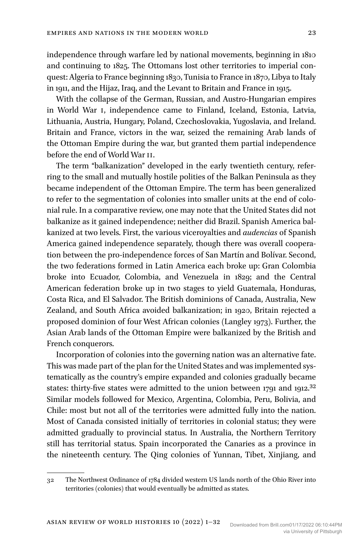independence through warfare led by national movements, beginning in 1810 and continuing to 1825. The Ottomans lost other territories to imperial conquest: Algeria to France beginning 1830, Tunisia to France in 1870, Libya to Italy in 1911, and the Hijaz, Iraq, and the Levant to Britain and France in 1915.

With the collapse of the German, Russian, and Austro-Hungarian empires in World War I, independence came to Finland, Iceland, Estonia, Latvia, Lithuania, Austria, Hungary, Poland, Czechoslovakia, Yugoslavia, and Ireland. Britain and France, victors in the war, seized the remaining Arab lands of the Ottoman Empire during the war, but granted them partial independence before the end of World War II.

The term "balkanization" developed in the early twentieth century, referring to the small and mutually hostile polities of the Balkan Peninsula as they became independent of the Ottoman Empire. The term has been generalized to refer to the segmentation of colonies into smaller units at the end of colonial rule. In a comparative review, one may note that the United States did not balkanize as it gained independence; neither did Brazil. Spanish America balkanized at two levels. First, the various viceroyalties and *audencias* of Spanish America gained independence separately, though there was overall cooperation between the pro-independence forces of San Martín and Bolívar. Second, the two federations formed in Latin America each broke up: Gran Colombia broke into Ecuador, Colombia, and Venezuela in 1829; and the Central American federation broke up in two stages to yield Guatemala, Honduras, Costa Rica, and El Salvador. The British dominions of Canada, Australia, New Zealand, and South Africa avoided balkanization; in 1920, Britain rejected a proposed dominion of four West African colonies (Langley 1973). Further, the Asian Arab lands of the Ottoman Empire were balkanized by the British and French conquerors.

Incorporation of colonies into the governing nation was an alternative fate. This was made part of the plan for the United States and was implemented systematically as the country's empire expanded and colonies gradually became states: thirty-five states were admitted to the union between 1791 and 1912.<sup>32</sup> Similar models followed for Mexico, Argentina, Colombia, Peru, Bolivia, and Chile: most but not all of the territories were admitted fully into the nation. Most of Canada consisted initially of territories in colonial status; they were admitted gradually to provincial status. In Australia, the Northern Territory still has territorial status. Spain incorporated the Canaries as a province in the nineteenth century. The Qing colonies of Yunnan, Tibet, Xinjiang, and

<sup>32</sup> The Northwest Ordinance of 1784 divided western US lands north of the Ohio River into territories (colonies) that would eventually be admitted as states.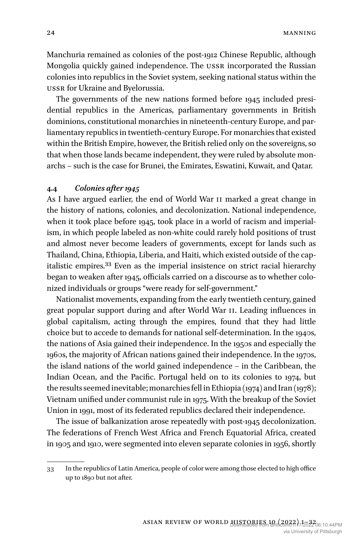Manchuria remained as colonies of the post-1912 Chinese Republic, although Mongolia quickly gained independence. The USSR incorporated the Russian colonies into republics in the Soviet system, seeking national status within the USSR for Ukraine and Byelorussia.

The governments of the new nations formed before 1945 included presidential republics in the Americas, parliamentary governments in British dominions, constitutional monarchies in nineteenth-century Europe, and parliamentary republics in twentieth-century Europe. For monarchies that existed within the British Empire, however, the British relied only on the sovereigns, so that when those lands became independent, they were ruled by absolute monarchs – such is the case for Brunei, the Emirates, Eswatini, Kuwait, and Qatar.

#### **4.4** *Colonies after 1945*

As I have argued earlier, the end of World War II marked a great change in the history of nations, colonies, and decolonization. National independence, when it took place before 1945, took place in a world of racism and imperialism, in which people labeled as non-white could rarely hold positions of trust and almost never become leaders of governments, except for lands such as Thailand, China, Ethiopia, Liberia, and Haiti, which existed outside of the capitalistic empires.33 Even as the imperial insistence on strict racial hierarchy began to weaken after 1945, officials carried on a discourse as to whether colonized individuals or groups "were ready for self-government."

Nationalist movements, expanding from the early twentieth century, gained great popular support during and after World War II. Leading influences in global capitalism, acting through the empires, found that they had little choice but to accede to demands for national self-determination. In the 1940s, the nations of Asia gained their independence. In the 1950s and especially the 1960s, the majority of African nations gained their independence. In the 1970s, the island nations of the world gained independence – in the Caribbean, the Indian Ocean, and the Pacific. Portugal held on to its colonies to 1974, but the results seemed inevitable; monarchies fell in Ethiopia (1974) and Iran (1978); Vietnam unified under communist rule in 1975. With the breakup of the Soviet Union in 1991, most of its federated republics declared their independence.

The issue of balkanization arose repeatedly with post-1945 decolonization. The federations of French West Africa and French Equatorial Africa, created in 1905 and 1910, were segmented into eleven separate colonies in 1956, shortly

<sup>33</sup> In the republics of Latin America, people of color were among those elected to high office up to 1890 but not after.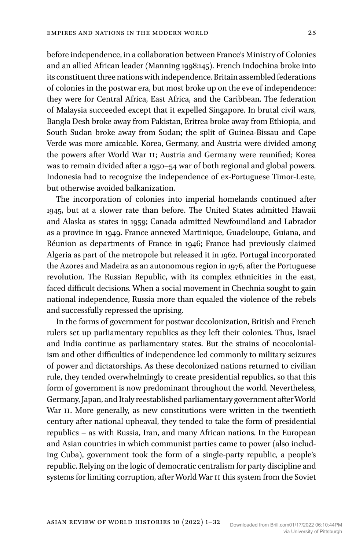before independence, in a collaboration between France's Ministry of Colonies and an allied African leader (Manning 1998:145). French Indochina broke into its constituent three nations with independence. Britain assembled federations of colonies in the postwar era, but most broke up on the eve of independence: they were for Central Africa, East Africa, and the Caribbean. The federation of Malaysia succeeded except that it expelled Singapore. In brutal civil wars, Bangla Desh broke away from Pakistan, Eritrea broke away from Ethiopia, and South Sudan broke away from Sudan; the split of Guinea-Bissau and Cape Verde was more amicable. Korea, Germany, and Austria were divided among the powers after World War II; Austria and Germany were reunified; Korea was to remain divided after a 1950–54 war of both regional and global powers. Indonesia had to recognize the independence of ex-Portuguese Timor-Leste, but otherwise avoided balkanization.

The incorporation of colonies into imperial homelands continued after 1945, but at a slower rate than before. The United States admitted Hawaii and Alaska as states in 1959; Canada admitted Newfoundland and Labrador as a province in 1949. France annexed Martinique, Guadeloupe, Guiana, and Réunion as departments of France in 1946; France had previously claimed Algeria as part of the metropole but released it in 1962. Portugal incorporated the Azores and Madeira as an autonomous region in 1976, after the Portuguese revolution. The Russian Republic, with its complex ethnicities in the east, faced difficult decisions. When a social movement in Chechnia sought to gain national independence, Russia more than equaled the violence of the rebels and successfully repressed the uprising.

In the forms of government for postwar decolonization, British and French rulers set up parliamentary republics as they left their colonies. Thus, Israel and India continue as parliamentary states. But the strains of neocolonialism and other difficulties of independence led commonly to military seizures of power and dictatorships. As these decolonized nations returned to civilian rule, they tended overwhelmingly to create presidential republics, so that this form of government is now predominant throughout the world. Nevertheless, Germany, Japan, and Italy reestablished parliamentary government after World War II. More generally, as new constitutions were written in the twentieth century after national upheaval, they tended to take the form of presidential republics – as with Russia, Iran, and many African nations. In the European and Asian countries in which communist parties came to power (also including Cuba), government took the form of a single-party republic, a people's republic. Relying on the logic of democratic centralism for party discipline and systems for limiting corruption, after World War II this system from the Soviet

Asian Review of World Histories 10 (2022) 1–32 Downloaded from Brill.com01/17/2022 06:10:44PM

via University of Pittsburgh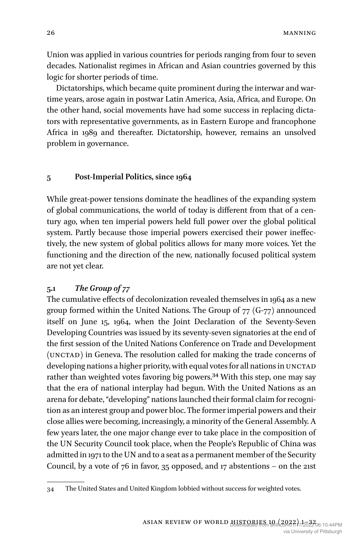Union was applied in various countries for periods ranging from four to seven decades. Nationalist regimes in African and Asian countries governed by this logic for shorter periods of time.

Dictatorships, which became quite prominent during the interwar and wartime years, arose again in postwar Latin America, Asia, Africa, and Europe. On the other hand, social movements have had some success in replacing dictators with representative governments, as in Eastern Europe and francophone Africa in 1989 and thereafter. Dictatorship, however, remains an unsolved problem in governance.

#### **5 Post-Imperial Politics, since 1964**

While great-power tensions dominate the headlines of the expanding system of global communications, the world of today is different from that of a century ago, when ten imperial powers held full power over the global political system. Partly because those imperial powers exercised their power ineffectively, the new system of global politics allows for many more voices. Yet the functioning and the direction of the new, nationally focused political system are not yet clear.

## **5.1** *The Group of 77*

The cumulative effects of decolonization revealed themselves in 1964 as a new group formed within the United Nations. The Group of 77 (G-77) announced itself on June 15, 1964, when the Joint Declaration of the Seventy-Seven Developing Countries was issued by its seventy-seven signatories at the end of the first session of the United Nations Conference on Trade and Development (UNCTAD) in Geneva. The resolution called for making the trade concerns of developing nations a higher priority, with equal votes for all nations in UNCTAD rather than weighted votes favoring big powers.34 With this step, one may say that the era of national interplay had begun. With the United Nations as an arena for debate, "developing" nations launched their formal claim for recognition as an interest group and power bloc. The former imperial powers and their close allies were becoming, increasingly, a minority of the General Assembly. A few years later, the one major change ever to take place in the composition of the UN Security Council took place, when the People's Republic of China was admitted in 1971 to the UN and to a seat as a permanent member of the Security Council, by a vote of  $76$  in favor,  $35$  opposed, and  $17$  abstentions – on the 21st

<sup>34</sup> The United States and United Kingdom lobbied without success for weighted votes.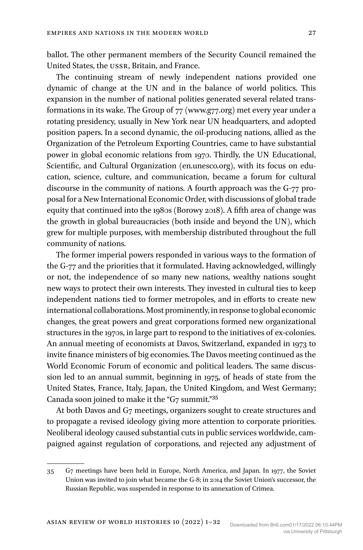ballot. The other permanent members of the Security Council remained the United States, the USSR, Britain, and France.

The continuing stream of newly independent nations provided one dynamic of change at the UN and in the balance of world politics. This expansion in the number of national polities generated several related transformations in its wake. The Group of 77 ([www.g77.org\)](http://www.g77.org) met every year under a rotating presidency, usually in New York near UN headquarters, and adopted position papers. In a second dynamic, the oil-producing nations, allied as the Organization of the Petroleum Exporting Countries, came to have substantial power in global economic relations from 1970. Thirdly, the UN Educational, Scientific, and Cultural Organization ([en.unesco.org\)](http://en.unesco.org), with its focus on education, science, culture, and communication, became a forum for cultural discourse in the community of nations. A fourth approach was the G-77 proposal for a New International Economic Order, with discussions of global trade equity that continued into the 1980s (Borowy 2018). A fifth area of change was the growth in global bureaucracies (both inside and beyond the UN), which grew for multiple purposes, with membership distributed throughout the full community of nations.

The former imperial powers responded in various ways to the formation of the G-77 and the priorities that it formulated. Having acknowledged, willingly or not, the independence of so many new nations, wealthy nations sought new ways to protect their own interests. They invested in cultural ties to keep independent nations tied to former metropoles, and in efforts to create new international collaborations. Most prominently, in response to global economic changes, the great powers and great corporations formed new organizational structures in the 1970s, in large part to respond to the initiatives of ex-colonies. An annual meeting of economists at Davos, Switzerland, expanded in 1973 to invite finance ministers of big economies. The Davos meeting continued as the World Economic Forum of economic and political leaders. The same discussion led to an annual summit, beginning in 1975, of heads of state from the United States, France, Italy, Japan, the United Kingdom, and West Germany; Canada soon joined to make it the "G7 summit."35

At both Davos and G7 meetings, organizers sought to create structures and to propagate a revised ideology giving more attention to corporate priorities. Neoliberal ideology caused substantial cuts in public services worldwide, campaigned against regulation of corporations, and rejected any adjustment of

<sup>35</sup> G7 meetings have been held in Europe, North America, and Japan. In 1977, the Soviet Union was invited to join what became the G-8; in 2014 the Soviet Union's successor, the Russian Republic, was suspended in response to its annexation of Crimea.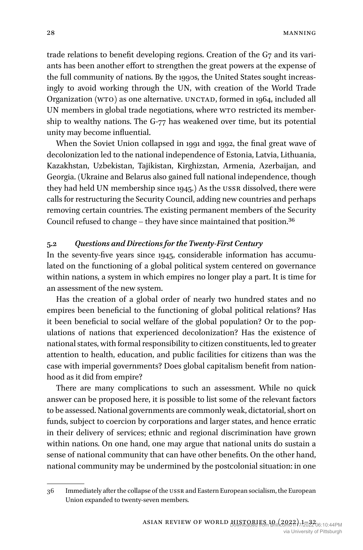trade relations to benefit developing regions. Creation of the G7 and its variants has been another effort to strengthen the great powers at the expense of the full community of nations. By the 1990s, the United States sought increasingly to avoid working through the UN, with creation of the World Trade Organization (WTO) as one alternative. UNCTAD, formed in 1964, included all UN members in global trade negotiations, where WTO restricted its membership to wealthy nations. The G-77 has weakened over time, but its potential unity may become influential.

When the Soviet Union collapsed in 1991 and 1992, the final great wave of decolonization led to the national independence of Estonia, Latvia, Lithuania, Kazakhstan, Uzbekistan, Tajikistan, Kirghizstan, Armenia, Azerbaijan, and Georgia. (Ukraine and Belarus also gained full national independence, though they had held UN membership since 1945.) As the USSR dissolved, there were calls for restructuring the Security Council, adding new countries and perhaps removing certain countries. The existing permanent members of the Security Council refused to change – they have since maintained that position.36

## **5.2** *Questions and Directions for the Twenty-First Century*

In the seventy-five years since 1945, considerable information has accumulated on the functioning of a global political system centered on governance within nations, a system in which empires no longer play a part. It is time for an assessment of the new system.

Has the creation of a global order of nearly two hundred states and no empires been beneficial to the functioning of global political relations? Has it been beneficial to social welfare of the global population? Or to the populations of nations that experienced decolonization? Has the existence of national states, with formal responsibility to citizen constituents, led to greater attention to health, education, and public facilities for citizens than was the case with imperial governments? Does global capitalism benefit from nationhood as it did from empire?

There are many complications to such an assessment. While no quick answer can be proposed here, it is possible to list some of the relevant factors to be assessed. National governments are commonly weak, dictatorial, short on funds, subject to coercion by corporations and larger states, and hence erratic in their delivery of services; ethnic and regional discrimination have grown within nations. On one hand, one may argue that national units do sustain a sense of national community that can have other benefits. On the other hand, national community may be undermined by the postcolonial situation: in one

<sup>36</sup> Immediately after the collapse of the USSR and Eastern European socialism, the European Union expanded to twenty-seven members.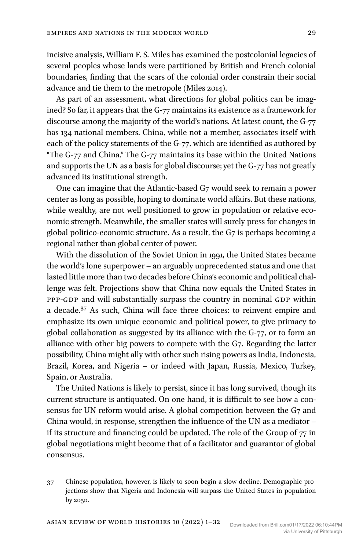incisive analysis, William F. S. Miles has examined the postcolonial legacies of several peoples whose lands were partitioned by British and French colonial boundaries, finding that the scars of the colonial order constrain their social advance and tie them to the metropole (Miles 2014).

As part of an assessment, what directions for global politics can be imagined? So far, it appears that the G-77 maintains its existence as a framework for discourse among the majority of the world's nations. At latest count, the G-77 has 134 national members. China, while not a member, associates itself with each of the policy statements of the G-77, which are identified as authored by "The G-77 and China." The G-77 maintains its base within the United Nations and supports the UN as a basis for global discourse; yet the G-77 has not greatly advanced its institutional strength.

One can imagine that the Atlantic-based G7 would seek to remain a power center as long as possible, hoping to dominate world affairs. But these nations, while wealthy, are not well positioned to grow in population or relative economic strength. Meanwhile, the smaller states will surely press for changes in global politico-economic structure. As a result, the G7 is perhaps becoming a regional rather than global center of power.

With the dissolution of the Soviet Union in 1991, the United States became the world's lone superpower – an arguably unprecedented status and one that lasted little more than two decades before China's economic and political challenge was felt. Projections show that China now equals the United States in PPP-GDP and will substantially surpass the country in nominal GDP within a decade.37 As such, China will face three choices: to reinvent empire and emphasize its own unique economic and political power, to give primacy to global collaboration as suggested by its alliance with the G-77, or to form an alliance with other big powers to compete with the G7. Regarding the latter possibility, China might ally with other such rising powers as India, Indonesia, Brazil, Korea, and Nigeria – or indeed with Japan, Russia, Mexico, Turkey, Spain, or Australia.

The United Nations is likely to persist, since it has long survived, though its current structure is antiquated. On one hand, it is difficult to see how a consensus for UN reform would arise. A global competition between the G7 and China would, in response, strengthen the influence of the UN as a mediator – if its structure and financing could be updated. The role of the Group of 77 in global negotiations might become that of a facilitator and guarantor of global consensus.

<sup>37</sup> Chinese population, however, is likely to soon begin a slow decline. Demographic projections show that Nigeria and Indonesia will surpass the United States in population by 2050.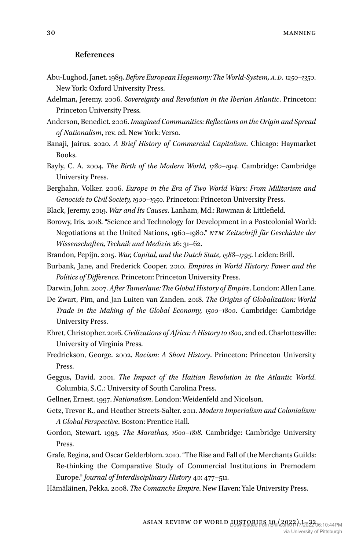#### **References**

- Abu-Lughod, Janet. 1989. *Before European Hegemony: The World-System, A.D. 1250–1350*. New York: Oxford University Press.
- Adelman, Jeremy. 2006. *Sovereignty and Revolution in the Iberian Atlantic*. Princeton: Princeton University Press.
- Anderson, Benedict. 2006. *Imagined Communities: Reflections on the Origin and Spread of Nationalism*, rev. ed. New York: Verso.
- Banaji, Jairus. 2020. *A Brief History of Commercial Capitalism*. Chicago: Haymarket Books.
- Bayly, C. A. 2004. *The Birth of the Modern World, 1780–1914*. Cambridge: Cambridge University Press.
- Berghahn, Volker. 2006. *Europe in the Era of Two World Wars: From Militarism and Genocide to Civil Society, 1900–1950*. Princeton: Princeton University Press.
- Black, Jeremy. 2019. *War and Its Causes*. Lanham, Md.: Rowman & Littlefield.
- Borowy, Iris. 2018. "Science and Technology for Development in a Postcolonial World: Negotiations at the United Nations, 1960–1980." *NTM Zeitschrift für Geschichte der Wissenschaften, Technik und Medizin* 26: 31–62.
- Brandon, Pepijn. 2015. *War, Capital, and the Dutch State, 1588–1795*. Leiden: Brill.
- Burbank, Jane, and Frederick Cooper. 2010. *Empires in World History: Power and the Politics of Difference*. Princeton: Princeton University Press.

Darwin, John. 2007. *After Tamerlane: The Global History of Empire*. London: Allen Lane.

- De Zwart, Pim, and Jan Luiten van Zanden. 2018. *The Origins of Globalization: World Trade in the Making of the Global Economy, 1500–1800*. Cambridge: Cambridge University Press.
- Ehret, Christopher. 2016. *Civilizations of Africa: A History to 1800*, 2nd ed. Charlottesville: University of Virginia Press.
- Fredrickson, George. 2002. *Racism: A Short History*. Princeton: Princeton University Press.
- Geggus, David. 2001. *The Impact of the Haitian Revolution in the Atlantic World*. Columbia, S.C.: University of South Carolina Press.
- Gellner, Ernest. 1997. *Nationalism*. London: Weidenfeld and Nicolson.
- Getz, Trevor R., and Heather Streets-Salter. 2011. *Modern Imperialism and Colonialism: A Global Perspective*. Boston: Prentice Hall.
- Gordon, Stewart. 1993. *The Marathas, 1600–1818*. Cambridge: Cambridge University Press.
- Grafe, Regina, and Oscar Gelderblom. 2010. "The Rise and Fall of the Merchants Guilds: Re-thinking the Comparative Study of Commercial Institutions in Premodern Europe." *Journal of Interdisciplinary History* 40: 477–511.
- Hämäläinen, Pekka. 2008. *The Comanche Empire*. New Haven: Yale University Press.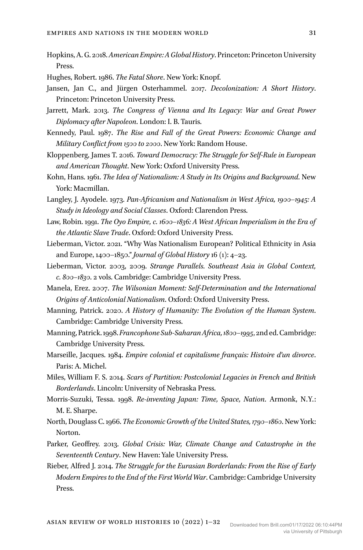- Hopkins, A. G. 2018. *American Empire: A Global History*. Princeton: Princeton University Press.
- Hughes, Robert. 1986. *The Fatal Shore*. New York: Knopf.
- Jansen, Jan C., and Jürgen Osterhammel. 2017. *Decolonization: A Short History*. Princeton: Princeton University Press.
- Jarrett, Mark. 2013. *The Congress of Vienna and Its Legacy: War and Great Power Diplomacy after Napoleon*. London: I. B. Tauris.
- Kennedy, Paul. 1987. *The Rise and Fall of the Great Powers: Economic Change and Military Conflict from 1500 to 2000*. New York: Random House.
- Kloppenberg, James T. 2016. *Toward Democracy: The Struggle for Self-Rule in European and American Thought*. New York: Oxford University Press.
- Kohn, Hans. 1961. *The Idea of Nationalism: A Study in Its Origins and Background*. New York: Macmillan.
- Langley, J. Ayodele. 1973. *Pan-Africanism and Nationalism in West Africa, 1900–1945: A Study in Ideology and Social Classes*. Oxford: Clarendon Press.
- Law, Robin. 1991. *The Oyo Empire, c. 1600–1836: A West African Imperialism in the Era of the Atlantic Slave Trade*. Oxford: Oxford University Press.
- Lieberman, Victor. 2021. "Why Was Nationalism European? Political Ethnicity in Asia and Europe, 1400–1850." *Journal of Global History* 16 (1): 4–23.
- Lieberman, Victor. 2003, 2009. *Strange Parallels. Southeast Asia in Global Context, c. 800–1830*. 2 vols. Cambridge: Cambridge University Press.
- Manela, Erez. 2007. *The Wilsonian Moment: Self-Determination and the International Origins of Anticolonial Nationalism*. Oxford: Oxford University Press.
- Manning, Patrick. 2020. *A History of Humanity: The Evolution of the Human System*. Cambridge: Cambridge University Press.
- Manning, Patrick. 1998. *Francophone Sub-Saharan Africa, 1800–1995*, 2nd ed. Cambridge: Cambridge University Press.
- Marseille, Jacques. 1984. *Empire colonial et capitalisme français: Histoire d'un divorce*. Paris: A. Michel.
- Miles, William F. S. 2014. *Scars of Partition: Postcolonial Legacies in French and British Borderlands*. Lincoln: University of Nebraska Press.
- Morris-Suzuki, Tessa. 1998. *Re-inventing Japan: Time, Space, Nation*. Armonk, N.Y.: M. E. Sharpe.
- North, Douglass C. 1966. *The Economic Growth of the United States, 1790–1860*. New York: Norton.
- Parker, Geoffrey. 2013. *Global Crisis: War, Climate Change and Catastrophe in the Seventeenth Century*. New Haven: Yale University Press.
- Rieber, Alfred J. 2014. *The Struggle for the Eurasian Borderlands: From the Rise of Early Modern Empires to the End of the First World War*. Cambridge: Cambridge University Press.